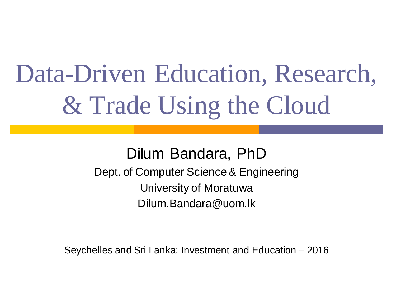# Data-Driven Education, Research, & Trade Using the Cloud

#### Dilum Bandara, PhD

Dept. of Computer Science & Engineering University of Moratuwa Dilum.Bandara@uom.lk

Seychelles and Sri Lanka: Investment and Education – 2016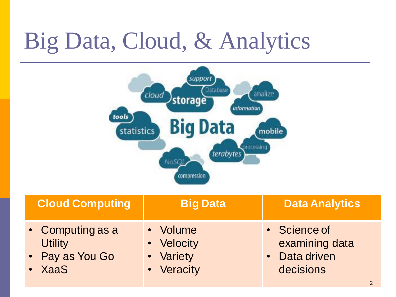## Big Data, Cloud, & Analytics



| <b>Cloud Computing</b> | <b>Big Data</b> | <b>Data Analytics</b> |
|------------------------|-----------------|-----------------------|
| • Computing as a       | • Volume        | • Science of          |
| <b>Utility</b>         | • Velocity      | examining data        |
| • Pay as You Go        | • Variety       | • Data driven         |
| · XaaS                 | • Veracity      | decisions             |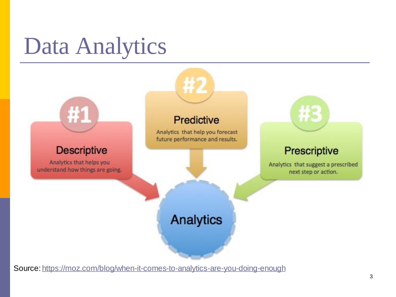#### Data Analytics



Source:<https://moz.com/blog/when-it-comes-to-analytics-are-you-doing-enough>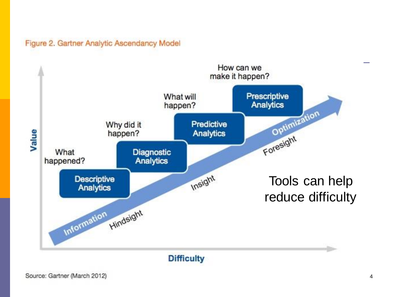Figure 2. Gartner Analytic Ascendancy Model

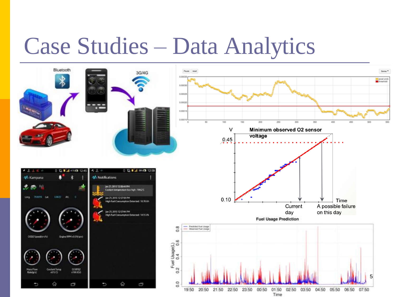#### Case Studies – Data Analytics

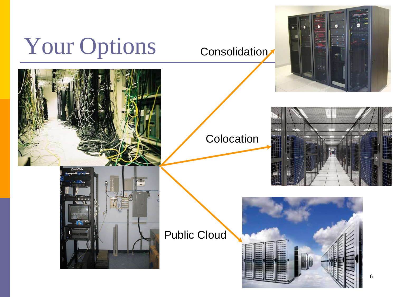### Your Options

#### **Consolidation**











Public Cloud

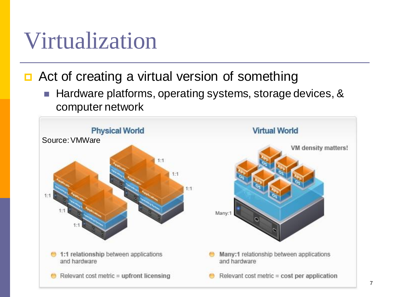#### Virtualization

Act of creating a virtual version of something

■ Hardware platforms, operating systems, storage devices, & computer network

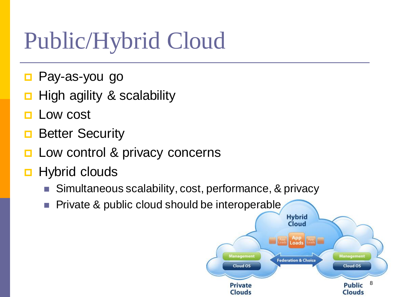## Public/Hybrid Cloud

- Pay-as-you go
- High agility & scalability
- Low cost
- Better Security
- Low control & privacy concerns
- **Hybrid clouds** 
	- Simultaneous scalability, cost, performance, & privacy
	- Private & public cloud should be interoperable

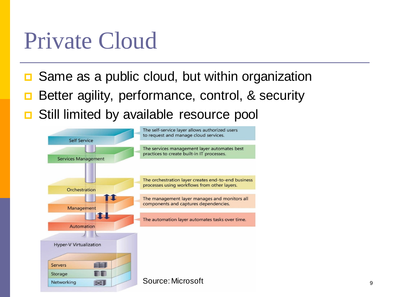#### Private Cloud

- Same as a public cloud, but within organization
- Better agility, performance, control, & security
- Still limited by available resource pool

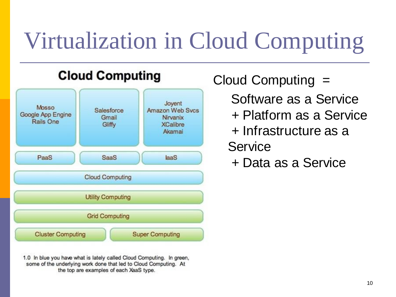## Virtualization in Cloud Computing



1.0 In blue you have what is lately called Cloud Computing. In green, some of the underlying work done that led to Cloud Computing. At the top are examples of each XaaS type.

Cloud Computing =

Software as a Service

- + Platform as a Service
- + Infrastructure as a

Service

+ Data as a Service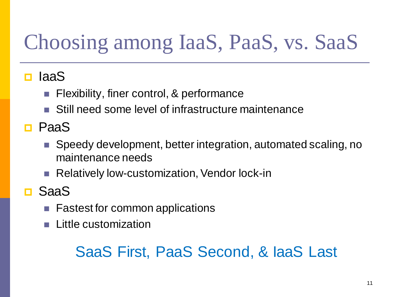#### Choosing among IaaS, PaaS, vs. SaaS

#### $\Box$  laaS

- **Flexibility, finer control, & performance**
- Still need some level of infrastructure maintenance
- PaaS
	- Speedy development, better integration, automated scaling, no maintenance needs
	- Relatively low-customization, Vendor lock-in
- SaaS
	- Fastest for common applications
	- Little customization

#### SaaS First, PaaS Second, & IaaS Last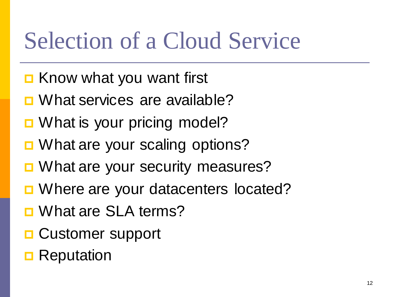### Selection of a Cloud Service

- $\Box$  Know what you want first
- **D** What services are available?
- What is your pricing model?
- What are your scaling options?
- What are your security measures?
- Where are your datacenters located?
- **D** What are SLA terms?
- **□ Customer support**
- **Reputation**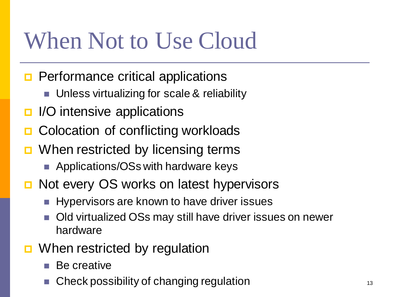### When Not to Use Cloud

- **Performance critical applications** 
	- **Unless virtualizing for scale & reliability**
- $\Box$  I/O intensive applications
- Colocation of conflicting workloads
- When restricted by licensing terms
	- Applications/OSs with hardware keys
- **D** Not every OS works on latest hypervisors
	- Hypervisors are known to have driver issues
	- Old virtualized OSs may still have driver issues on newer hardware
- **□** When restricted by regulation
	- Be creative
	- Check possibility of changing regulation  $13$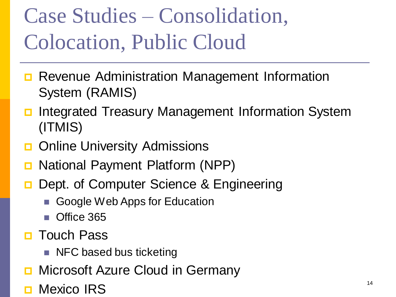#### Case Studies – Consolidation, Colocation, Public Cloud

- **Revenue Administration Management Information** System (RAMIS)
- Integrated Treasury Management Information System (ITMIS)
- **D** Online University Admissions
- National Payment Platform (NPP)
- Dept. of Computer Science & Engineering
	- Google Web Apps for Education
	- Office 365
- **D** Touch Pass
	- NFC based bus ticketing
- Microsoft Azure Cloud in Germany
- Mexico IRS<sup>14</sup>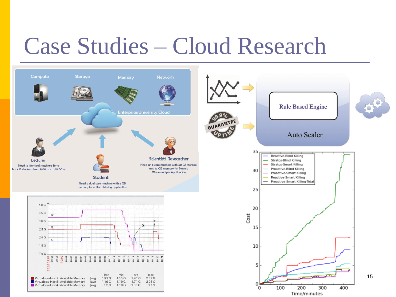#### Case Studies – Cloud Research